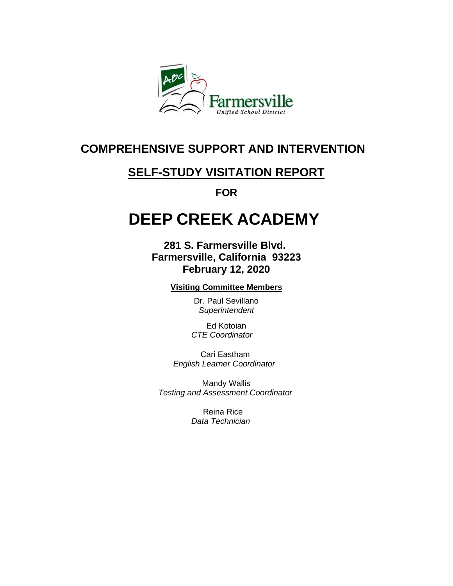

# **COMPREHENSIVE SUPPORT AND INTERVENTION**

# **SELF-STUDY VISITATION REPORT**

**FOR**

# **DEEP CREEK ACADEMY**

**281 S. Farmersville Blvd. Farmersville, California 93223 February 12, 2020**

**Visiting Committee Members**

Dr. Paul Sevillano *Superintendent*

Ed Kotoian *CTE Coordinator* 

Cari Eastham *English Learner Coordinator* 

Mandy Wallis *Testing and Assessment Coordinator*

> Reina Rice *Data Technician*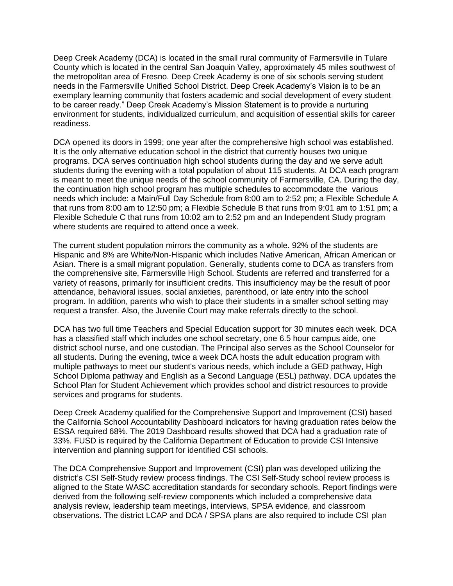Deep Creek Academy (DCA) is located in the small rural community of Farmersville in Tulare County which is located in the central San Joaquin Valley, approximately 45 miles southwest of the metropolitan area of Fresno. Deep Creek Academy is one of six schools serving student needs in the Farmersville Unified School District. Deep Creek Academy's Vision is to be an exemplary learning community that fosters academic and social development of every student to be career ready." Deep Creek Academy's Mission Statement is to provide a nurturing environment for students, individualized curriculum, and acquisition of essential skills for career readiness.

DCA opened its doors in 1999; one year after the comprehensive high school was established. It is the only alternative education school in the district that currently houses two unique programs. DCA serves continuation high school students during the day and we serve adult students during the evening with a total population of about 115 students. At DCA each program is meant to meet the unique needs of the school community of Farmersville, CA. During the day, the continuation high school program has multiple schedules to accommodate the various needs which include: a Main/Full Day Schedule from 8:00 am to 2:52 pm; a Flexible Schedule A that runs from 8:00 am to 12:50 pm; a Flexible Schedule B that runs from 9:01 am to 1:51 pm; a Flexible Schedule C that runs from 10:02 am to 2:52 pm and an Independent Study program where students are required to attend once a week.

The current student population mirrors the community as a whole. 92% of the students are Hispanic and 8% are White/Non-Hispanic which includes Native American, African American or Asian. There is a small migrant population. Generally, students come to DCA as transfers from the comprehensive site, Farmersville High School. Students are referred and transferred for a variety of reasons, primarily for insufficient credits. This insufficiency may be the result of poor attendance, behavioral issues, social anxieties, parenthood, or late entry into the school program. In addition, parents who wish to place their students in a smaller school setting may request a transfer. Also, the Juvenile Court may make referrals directly to the school.

DCA has two full time Teachers and Special Education support for 30 minutes each week. DCA has a classified staff which includes one school secretary, one 6.5 hour campus aide, one district school nurse, and one custodian. The Principal also serves as the School Counselor for all students. During the evening, twice a week DCA hosts the adult education program with multiple pathways to meet our student's various needs, which include a GED pathway, High School Diploma pathway and English as a Second Language (ESL) pathway. DCA updates the School Plan for Student Achievement which provides school and district resources to provide services and programs for students.

Deep Creek Academy qualified for the Comprehensive Support and Improvement (CSI) based the California School Accountability Dashboard indicators for having graduation rates below the ESSA required 68%. The 2019 Dashboard results showed that DCA had a graduation rate of 33%. FUSD is required by the California Department of Education to provide CSI Intensive intervention and planning support for identified CSI schools.

The DCA Comprehensive Support and Improvement (CSI) plan was developed utilizing the district's CSI Self-Study review process findings. The CSI Self-Study school review process is aligned to the State WASC accreditation standards for secondary schools. Report findings were derived from the following self-review components which included a comprehensive data analysis review, leadership team meetings, interviews, SPSA evidence, and classroom observations. The district LCAP and DCA / SPSA plans are also required to include CSI plan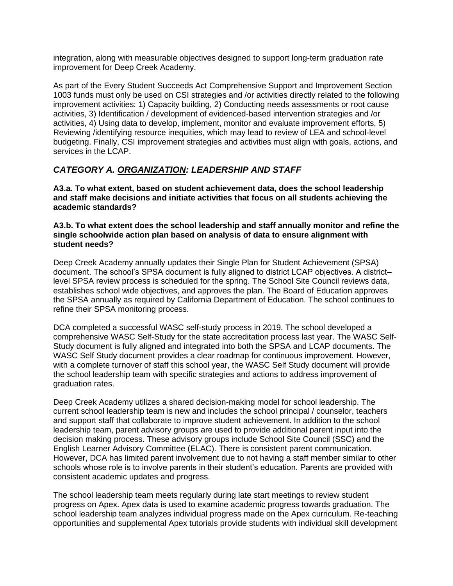integration, along with measurable objectives designed to support long-term graduation rate improvement for Deep Creek Academy.

As part of the Every Student Succeeds Act Comprehensive Support and Improvement Section 1003 funds must only be used on CSI strategies and /or activities directly related to the following improvement activities: 1) Capacity building, 2) Conducting needs assessments or root cause activities, 3) Identification / development of evidenced-based intervention strategies and /or activities, 4) Using data to develop, implement, monitor and evaluate improvement efforts, 5) Reviewing /identifying resource inequities, which may lead to review of LEA and school-level budgeting. Finally, CSI improvement strategies and activities must align with goals, actions, and services in the LCAP.

# *CATEGORY A. ORGANIZATION: LEADERSHIP AND STAFF*

**A3.a. To what extent, based on student achievement data, does the school leadership and staff make decisions and initiate activities that focus on all students achieving the academic standards?**

#### **A3.b. To what extent does the school leadership and staff annually monitor and refine the single schoolwide action plan based on analysis of data to ensure alignment with student needs?**

Deep Creek Academy annually updates their Single Plan for Student Achievement (SPSA) document. The school's SPSA document is fully aligned to district LCAP objectives. A district– level SPSA review process is scheduled for the spring. The School Site Council reviews data, establishes school wide objectives, and approves the plan. The Board of Education approves the SPSA annually as required by California Department of Education. The school continues to refine their SPSA monitoring process.

DCA completed a successful WASC self-study process in 2019. The school developed a comprehensive WASC Self-Study for the state accreditation process last year. The WASC Self-Study document is fully aligned and integrated into both the SPSA and LCAP documents. The WASC Self Study document provides a clear roadmap for continuous improvement. However, with a complete turnover of staff this school year, the WASC Self Study document will provide the school leadership team with specific strategies and actions to address improvement of graduation rates.

Deep Creek Academy utilizes a shared decision-making model for school leadership. The current school leadership team is new and includes the school principal / counselor, teachers and support staff that collaborate to improve student achievement. In addition to the school leadership team, parent advisory groups are used to provide additional parent input into the decision making process. These advisory groups include School Site Council (SSC) and the English Learner Advisory Committee (ELAC). There is consistent parent communication. However, DCA has limited parent involvement due to not having a staff member similar to other schools whose role is to involve parents in their student's education. Parents are provided with consistent academic updates and progress.

The school leadership team meets regularly during late start meetings to review student progress on Apex. Apex data is used to examine academic progress towards graduation. The school leadership team analyzes individual progress made on the Apex curriculum. Re-teaching opportunities and supplemental Apex tutorials provide students with individual skill development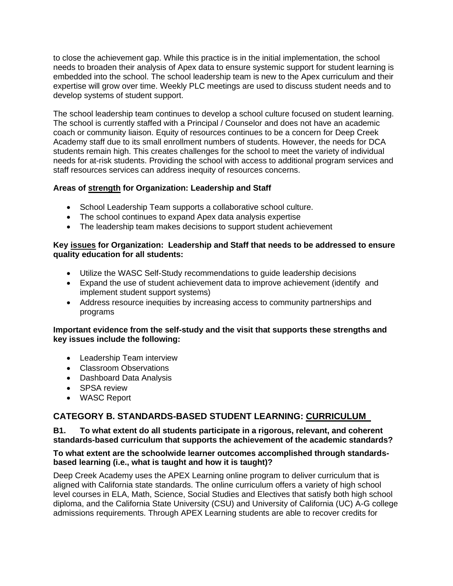to close the achievement gap. While this practice is in the initial implementation, the school needs to broaden their analysis of Apex data to ensure systemic support for student learning is embedded into the school. The school leadership team is new to the Apex curriculum and their expertise will grow over time. Weekly PLC meetings are used to discuss student needs and to develop systems of student support.

The school leadership team continues to develop a school culture focused on student learning. The school is currently staffed with a Principal / Counselor and does not have an academic coach or community liaison. Equity of resources continues to be a concern for Deep Creek Academy staff due to its small enrollment numbers of students. However, the needs for DCA students remain high. This creates challenges for the school to meet the variety of individual needs for at-risk students. Providing the school with access to additional program services and staff resources services can address inequity of resources concerns.

# **Areas of strength for Organization: Leadership and Staff**

- School Leadership Team supports a collaborative school culture.
- The school continues to expand Apex data analysis expertise
- The leadership team makes decisions to support student achievement

#### **Key issues for Organization: Leadership and Staff that needs to be addressed to ensure quality education for all students:**

- Utilize the WASC Self-Study recommendations to guide leadership decisions
- Expand the use of student achievement data to improve achievement (identify and implement student support systems)
- Address resource inequities by increasing access to community partnerships and programs

# **Important evidence from the self-study and the visit that supports these strengths and key issues include the following:**

- Leadership Team interview
- Classroom Observations
- Dashboard Data Analysis
- SPSA review
- WASC Report

# **CATEGORY B. STANDARDS-BASED STUDENT LEARNING: CURRICULUM**

# **B1. To what extent do all students participate in a rigorous, relevant, and coherent standards-based curriculum that supports the achievement of the academic standards?**

#### **To what extent are the schoolwide learner outcomes accomplished through standardsbased learning (i.e., what is taught and how it is taught)?**

Deep Creek Academy uses the APEX Learning online program to deliver curriculum that is aligned with California state standards. The online curriculum offers a variety of high school level courses in ELA, Math, Science, Social Studies and Electives that satisfy both high school diploma, and the California State University (CSU) and University of California (UC) A-G college admissions requirements. Through APEX Learning students are able to recover credits for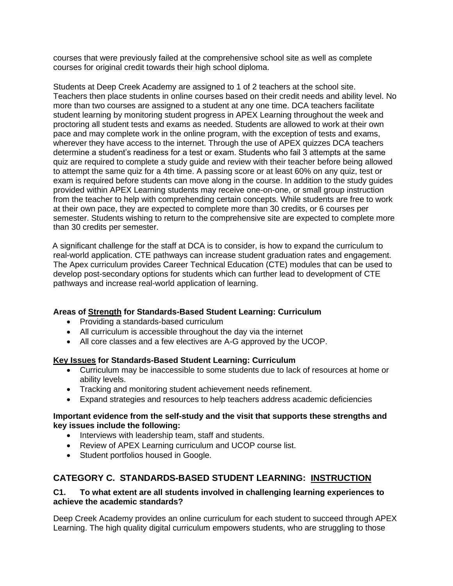courses that were previously failed at the comprehensive school site as well as complete courses for original credit towards their high school diploma.

Students at Deep Creek Academy are assigned to 1 of 2 teachers at the school site. Teachers then place students in online courses based on their credit needs and ability level. No more than two courses are assigned to a student at any one time. DCA teachers facilitate student learning by monitoring student progress in APEX Learning throughout the week and proctoring all student tests and exams as needed. Students are allowed to work at their own pace and may complete work in the online program, with the exception of tests and exams, wherever they have access to the internet. Through the use of APEX quizzes DCA teachers determine a student's readiness for a test or exam. Students who fail 3 attempts at the same quiz are required to complete a study guide and review with their teacher before being allowed to attempt the same quiz for a 4th time. A passing score or at least 60% on any quiz, test or exam is required before students can move along in the course. In addition to the study guides provided within APEX Learning students may receive one-on-one, or small group instruction from the teacher to help with comprehending certain concepts. While students are free to work at their own pace, they are expected to complete more than 30 credits, or 6 courses per semester. Students wishing to return to the comprehensive site are expected to complete more than 30 credits per semester.

 A significant challenge for the staff at DCA is to consider, is how to expand the curriculum to real-world application. CTE pathways can increase student graduation rates and engagement. The Apex curriculum provides Career Technical Education (CTE) modules that can be used to develop post-secondary options for students which can further lead to development of CTE pathways and increase real-world application of learning.

# **Areas of Strength for Standards-Based Student Learning: Curriculum**

- Providing a standards-based curriculum
- All curriculum is accessible throughout the day via the internet
- All core classes and a few electives are A-G approved by the UCOP.

# **Key Issues for Standards-Based Student Learning: Curriculum**

- Curriculum may be inaccessible to some students due to lack of resources at home or ability levels.
- Tracking and monitoring student achievement needs refinement.
- Expand strategies and resources to help teachers address academic deficiencies

# **Important evidence from the self-study and the visit that supports these strengths and key issues include the following:**

- Interviews with leadership team, staff and students.
- Review of APEX Learning curriculum and UCOP course list.
- Student portfolios housed in Google.

# **CATEGORY C. STANDARDS-BASED STUDENT LEARNING: INSTRUCTION**

#### **C1. To what extent are all students involved in challenging learning experiences to achieve the academic standards?**

Deep Creek Academy provides an online curriculum for each student to succeed through APEX Learning. The high quality digital curriculum empowers students, who are struggling to those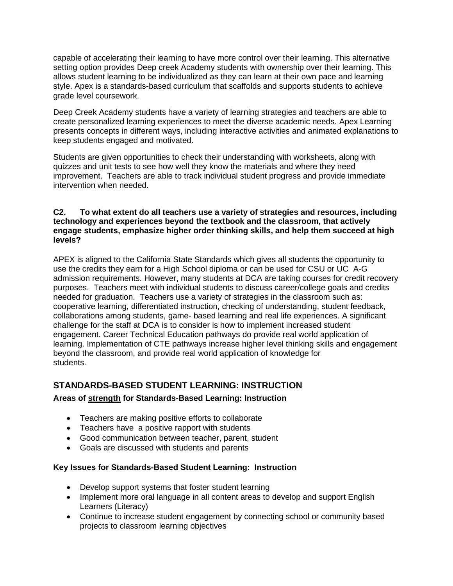capable of accelerating their learning to have more control over their learning. This alternative setting option provides Deep creek Academy students with ownership over their learning. This allows student learning to be individualized as they can learn at their own pace and learning style. Apex is a standards-based curriculum that scaffolds and supports students to achieve grade level coursework.

Deep Creek Academy students have a variety of learning strategies and teachers are able to create personalized learning experiences to meet the diverse academic needs. Apex Learning presents concepts in different ways, including interactive activities and animated explanations to keep students engaged and motivated.

Students are given opportunities to check their understanding with worksheets, along with quizzes and unit tests to see how well they know the materials and where they need improvement. Teachers are able to track individual student progress and provide immediate intervention when needed.

# **C2. To what extent do all teachers use a variety of strategies and resources, including technology and experiences beyond the textbook and the classroom, that actively engage students, emphasize higher order thinking skills, and help them succeed at high levels?**

APEX is aligned to the California State Standards which gives all students the opportunity to use the credits they earn for a High School diploma or can be used for CSU or UC A-G admission requirements. However, many students at DCA are taking courses for credit recovery purposes. Teachers meet with individual students to discuss career/college goals and credits needed for graduation. Teachers use a variety of strategies in the classroom such as: cooperative learning, differentiated instruction, checking of understanding, student feedback, collaborations among students, game- based learning and real life experiences. A significant challenge for the staff at DCA is to consider is how to implement increased student engagement. Career Technical Education pathways do provide real world application of learning. Implementation of CTE pathways increase higher level thinking skills and engagement beyond the classroom, and provide real world application of knowledge for students.

# **STANDARDS-BASED STUDENT LEARNING: INSTRUCTION**

# **Areas of strength for Standards-Based Learning: Instruction**

- Teachers are making positive efforts to collaborate
- Teachers have a positive rapport with students
- Good communication between teacher, parent, student
- Goals are discussed with students and parents

#### **Key Issues for Standards-Based Student Learning: Instruction**

- Develop support systems that foster student learning
- Implement more oral language in all content areas to develop and support English Learners (Literacy)
- Continue to increase student engagement by connecting school or community based projects to classroom learning objectives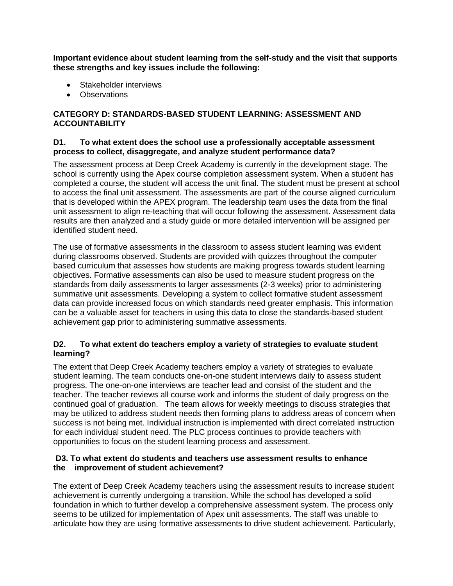**Important evidence about student learning from the self-study and the visit that supports these strengths and key issues include the following:**

- Stakeholder interviews
- Observations

# **CATEGORY D: STANDARDS-BASED STUDENT LEARNING: ASSESSMENT AND ACCOUNTABILITY**

#### **D1. To what extent does the school use a professionally acceptable assessment process to collect, disaggregate, and analyze student performance data?**

The assessment process at Deep Creek Academy is currently in the development stage. The school is currently using the Apex course completion assessment system. When a student has completed a course, the student will access the unit final. The student must be present at school to access the final unit assessment. The assessments are part of the course aligned curriculum that is developed within the APEX program. The leadership team uses the data from the final unit assessment to align re-teaching that will occur following the assessment. Assessment data results are then analyzed and a study guide or more detailed intervention will be assigned per identified student need.

The use of formative assessments in the classroom to assess student learning was evident during classrooms observed. Students are provided with quizzes throughout the computer based curriculum that assesses how students are making progress towards student learning objectives. Formative assessments can also be used to measure student progress on the standards from daily assessments to larger assessments (2-3 weeks) prior to administering summative unit assessments. Developing a system to collect formative student assessment data can provide increased focus on which standards need greater emphasis. This information can be a valuable asset for teachers in using this data to close the standards-based student achievement gap prior to administering summative assessments.

# **D2. To what extent do teachers employ a variety of strategies to evaluate student learning?**

The extent that Deep Creek Academy teachers employ a variety of strategies to evaluate student learning. The team conducts one-on-one student interviews daily to assess student progress. The one-on-one interviews are teacher lead and consist of the student and the teacher. The teacher reviews all course work and informs the student of daily progress on the continued goal of graduation. The team allows for weekly meetings to discuss strategies that may be utilized to address student needs then forming plans to address areas of concern when success is not being met. Individual instruction is implemented with direct correlated instruction for each individual student need. The PLC process continues to provide teachers with opportunities to focus on the student learning process and assessment.

# **D3. To what extent do students and teachers use assessment results to enhance the improvement of student achievement?**

The extent of Deep Creek Academy teachers using the assessment results to increase student achievement is currently undergoing a transition. While the school has developed a solid foundation in which to further develop a comprehensive assessment system. The process only seems to be utilized for implementation of Apex unit assessments. The staff was unable to articulate how they are using formative assessments to drive student achievement. Particularly,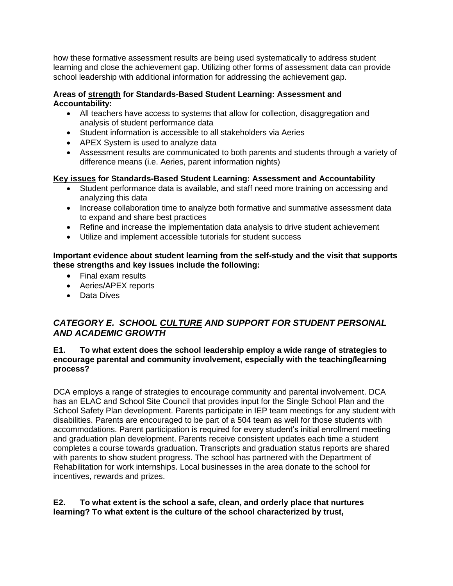how these formative assessment results are being used systematically to address student learning and close the achievement gap. Utilizing other forms of assessment data can provide school leadership with additional information for addressing the achievement gap.

# **Areas of strength for Standards-Based Student Learning: Assessment and Accountability:**

- All teachers have access to systems that allow for collection, disaggregation and analysis of student performance data
- Student information is accessible to all stakeholders via Aeries
- APEX System is used to analyze data
- Assessment results are communicated to both parents and students through a variety of difference means (i.e. Aeries, parent information nights)

# **Key issues for Standards-Based Student Learning: Assessment and Accountability**

- Student performance data is available, and staff need more training on accessing and analyzing this data
- Increase collaboration time to analyze both formative and summative assessment data to expand and share best practices
- Refine and increase the implementation data analysis to drive student achievement
- Utilize and implement accessible tutorials for student success

# **Important evidence about student learning from the self-study and the visit that supports these strengths and key issues include the following:**

- Final exam results
- Aeries/APEX reports
- Data Dives

# *CATEGORY E. SCHOOL CULTURE AND SUPPORT FOR STUDENT PERSONAL AND ACADEMIC GROWTH*

# **E1. To what extent does the school leadership employ a wide range of strategies to encourage parental and community involvement, especially with the teaching/learning process?**

DCA employs a range of strategies to encourage community and parental involvement. DCA has an ELAC and School Site Council that provides input for the Single School Plan and the School Safety Plan development. Parents participate in IEP team meetings for any student with disabilities. Parents are encouraged to be part of a 504 team as well for those students with accommodations. Parent participation is required for every student's initial enrollment meeting and graduation plan development. Parents receive consistent updates each time a student completes a course towards graduation. Transcripts and graduation status reports are shared with parents to show student progress. The school has partnered with the Department of Rehabilitation for work internships. Local businesses in the area donate to the school for incentives, rewards and prizes.

# **E2. To what extent is the school a safe, clean, and orderly place that nurtures learning? To what extent is the culture of the school characterized by trust,**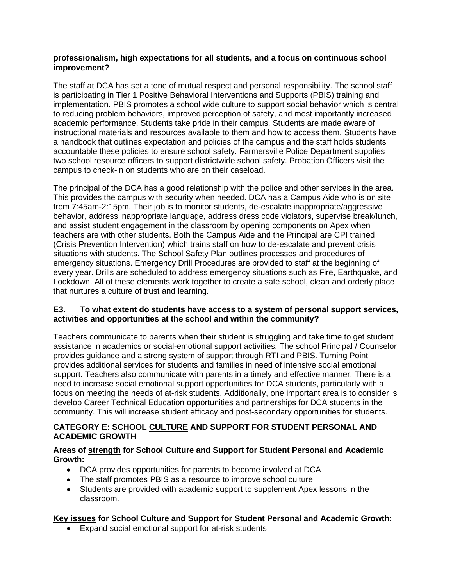#### **professionalism, high expectations for all students, and a focus on continuous school improvement?**

The staff at DCA has set a tone of mutual respect and personal responsibility. The school staff is participating in Tier 1 Positive Behavioral Interventions and Supports (PBIS) training and implementation. PBIS promotes a school wide culture to support social behavior which is central to reducing problem behaviors, improved perception of safety, and most importantly increased academic performance. Students take pride in their campus. Students are made aware of instructional materials and resources available to them and how to access them. Students have a handbook that outlines expectation and policies of the campus and the staff holds students accountable these policies to ensure school safety. Farmersville Police Department supplies two school resource officers to support districtwide school safety. Probation Officers visit the campus to check-in on students who are on their caseload.

The principal of the DCA has a good relationship with the police and other services in the area. This provides the campus with security when needed. DCA has a Campus Aide who is on site from 7:45am-2:15pm. Their job is to monitor students, de-escalate inappropriate/aggressive behavior, address inappropriate language, address dress code violators, supervise break/lunch, and assist student engagement in the classroom by opening components on Apex when teachers are with other students. Both the Campus Aide and the Principal are CPI trained (Crisis Prevention Intervention) which trains staff on how to de-escalate and prevent crisis situations with students. The School Safety Plan outlines processes and procedures of emergency situations. Emergency Drill Procedures are provided to staff at the beginning of every year. Drills are scheduled to address emergency situations such as Fire, Earthquake, and Lockdown. All of these elements work together to create a safe school, clean and orderly place that nurtures a culture of trust and learning.

#### **E3. To what extent do students have access to a system of personal support services, activities and opportunities at the school and within the community?**

Teachers communicate to parents when their student is struggling and take time to get student assistance in academics or social-emotional support activities. The school Principal / Counselor provides guidance and a strong system of support through RTI and PBIS. Turning Point provides additional services for students and families in need of intensive social emotional support. Teachers also communicate with parents in a timely and effective manner. There is a need to increase social emotional support opportunities for DCA students, particularly with a focus on meeting the needs of at-risk students. Additionally, one important area is to consider is develop Career Technical Education opportunities and partnerships for DCA students in the community. This will increase student efficacy and post-secondary opportunities for students.

# **CATEGORY E: SCHOOL CULTURE AND SUPPORT FOR STUDENT PERSONAL AND ACADEMIC GROWTH**

# **Areas of strength for School Culture and Support for Student Personal and Academic Growth:**

- DCA provides opportunities for parents to become involved at DCA
- The staff promotes PBIS as a resource to improve school culture
- Students are provided with academic support to supplement Apex lessons in the classroom.

# **Key issues for School Culture and Support for Student Personal and Academic Growth:**

• Expand social emotional support for at-risk students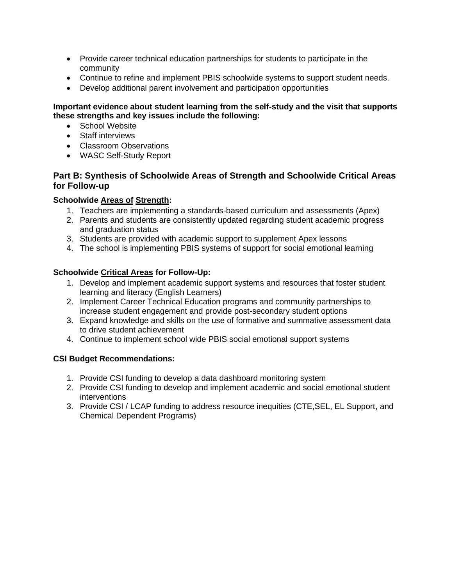- Provide career technical education partnerships for students to participate in the community
- Continue to refine and implement PBIS schoolwide systems to support student needs.
- Develop additional parent involvement and participation opportunities

# **Important evidence about student learning from the self-study and the visit that supports these strengths and key issues include the following:**

- School Website
- Staff interviews
- Classroom Observations
- WASC Self-Study Report

# **Part B: Synthesis of Schoolwide Areas of Strength and Schoolwide Critical Areas for Follow-up**

# **Schoolwide Areas of Strength:**

- 1. Teachers are implementing a standards-based curriculum and assessments (Apex)
- 2. Parents and students are consistently updated regarding student academic progress and graduation status
- 3. Students are provided with academic support to supplement Apex lessons
- 4. The school is implementing PBIS systems of support for social emotional learning

# **Schoolwide Critical Areas for Follow-Up:**

- 1. Develop and implement academic support systems and resources that foster student learning and literacy (English Learners)
- 2. Implement Career Technical Education programs and community partnerships to increase student engagement and provide post-secondary student options
- 3. Expand knowledge and skills on the use of formative and summative assessment data to drive student achievement
- 4. Continue to implement school wide PBIS social emotional support systems

# **CSI Budget Recommendations:**

- 1. Provide CSI funding to develop a data dashboard monitoring system
- 2. Provide CSI funding to develop and implement academic and social emotional student interventions
- 3. Provide CSI / LCAP funding to address resource inequities (CTE,SEL, EL Support, and Chemical Dependent Programs)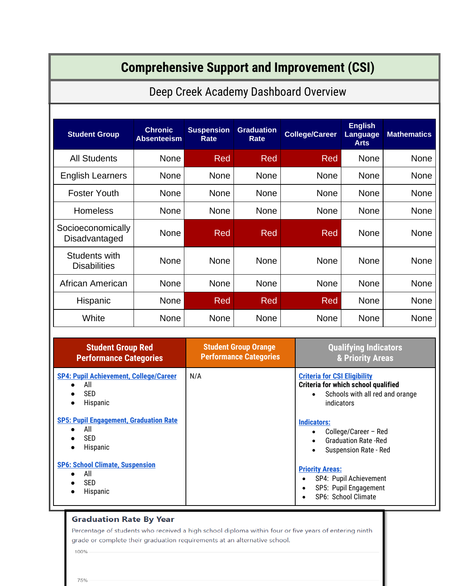| <b>Comprehensive Support and Improvement (CSI)</b>                             |                                       |                                                              |                           |                                                                                                                             |                        |                                                                               |                    |
|--------------------------------------------------------------------------------|---------------------------------------|--------------------------------------------------------------|---------------------------|-----------------------------------------------------------------------------------------------------------------------------|------------------------|-------------------------------------------------------------------------------|--------------------|
|                                                                                | Deep Creek Academy Dashboard Overview |                                                              |                           |                                                                                                                             |                        |                                                                               |                    |
|                                                                                |                                       |                                                              |                           |                                                                                                                             |                        |                                                                               |                    |
| <b>Student Group</b>                                                           | <b>Chronic</b><br><b>Absenteeism</b>  | <b>Suspension</b><br><b>Rate</b>                             | <b>Graduation</b><br>Rate |                                                                                                                             | <b>College/Career</b>  | <b>English</b><br>Language<br><b>Arts</b>                                     | <b>Mathematics</b> |
| <b>All Students</b>                                                            | None                                  | Red                                                          | Red                       |                                                                                                                             | Red                    | <b>None</b>                                                                   | None               |
| <b>English Learners</b>                                                        | None                                  | None                                                         | <b>None</b>               |                                                                                                                             | <b>None</b>            | <b>None</b>                                                                   | <b>None</b>        |
| <b>Foster Youth</b>                                                            | None                                  | None                                                         | <b>None</b>               |                                                                                                                             | None                   | <b>None</b>                                                                   | <b>None</b>        |
| <b>Homeless</b>                                                                | None                                  | None                                                         | <b>None</b>               |                                                                                                                             | None                   | <b>None</b>                                                                   | None               |
| Socioeconomically<br>Disadvantaged                                             | None                                  | Red                                                          | Red                       |                                                                                                                             | Red                    | <b>None</b>                                                                   | <b>None</b>        |
| Students with<br><b>Disabilities</b>                                           | None                                  | None                                                         | None                      |                                                                                                                             | <b>None</b>            | <b>None</b>                                                                   | None               |
| African American                                                               | None                                  | None                                                         | <b>None</b>               |                                                                                                                             | None                   | <b>None</b>                                                                   | None               |
| Hispanic                                                                       | None                                  | Red                                                          | Red                       |                                                                                                                             | Red                    | <b>None</b>                                                                   | None               |
| White                                                                          | None                                  | None                                                         | <b>None</b>               |                                                                                                                             | <b>None</b>            | <b>None</b>                                                                   | None               |
| <b>Student Group Red</b><br><b>Performance Categories</b>                      |                                       | <b>Student Group Orange</b><br><b>Performance Categories</b> |                           | <b>Qualifying Indicators</b><br>& Priority Areas                                                                            |                        |                                                                               |                    |
| <b>SP4: Pupil Achievement, College/Career</b><br>All<br><b>SED</b><br>Hispanic |                                       | N/A                                                          |                           | <b>Criteria for CSI Eligibility</b><br>Criteria for which school qualified<br>Schools with all red and orange<br>indicators |                        |                                                                               |                    |
| <b>SP5: Pupil Engagement, Graduation Rate</b><br>All<br><b>SED</b><br>Hispanic |                                       |                                                              |                           |                                                                                                                             | <b>Indicators:</b>     | College/Career - Red<br><b>Graduation Rate - Red</b><br>Suspension Rate - Red |                    |
| <b>SP6: School Climate, Suspension</b><br>All<br><b>SED</b><br>Hispanic        |                                       |                                                              |                           |                                                                                                                             | <b>Priority Areas:</b> | SP4: Pupil Achievement<br>SP5: Pupil Engagement<br>SP6: School Climate        |                    |

# **Graduation Rate By Year**

Percentage of students who received a high school diploma within four or five years of entering ninth grade or complete their graduation requirements at an alternative school.

100%

75%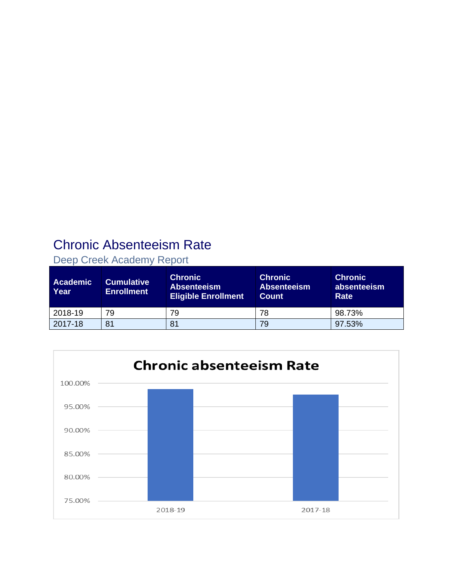# Chronic Absenteeism Rate

| Deep Creek Academy Report |                                              |                                                                    |                                                      |                                       |  |  |  |
|---------------------------|----------------------------------------------|--------------------------------------------------------------------|------------------------------------------------------|---------------------------------------|--|--|--|
| <b>Academic</b><br>Year   | Cumulative <sup>1</sup><br><b>Enrollment</b> | <b>Chronic</b><br><b>Absenteeism</b><br><b>Eligible Enrollment</b> | <b>Chronic</b><br><b>Absenteeism</b><br><b>Count</b> | <b>Chronic</b><br>absenteeism<br>Rate |  |  |  |
| 2018-19                   | 79                                           | 79                                                                 | 78                                                   | 98.73%                                |  |  |  |
| 2017-18                   | 81                                           | 81                                                                 | 79                                                   | 97.53%                                |  |  |  |



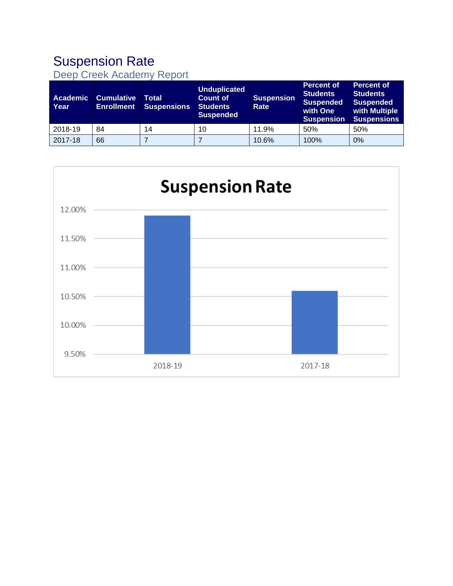# Suspension Rate

|  |  | Deep Creek Academy Report |  |
|--|--|---------------------------|--|
|--|--|---------------------------|--|

| <b>Academic</b><br>Year | <b>Cumulative</b><br><b>Enrollment</b> | Total<br><b>Suspensions</b> | <b>Unduplicated</b><br><b>Count of</b><br><b>Students</b><br><b>Suspended</b> | <b>Suspension</b><br>Rate | <b>Percent of</b><br><b>Students</b><br><b>Suspended</b><br>with One<br><b>Suspension</b> | <b>Percent of</b><br><b>Students</b><br><b>Suspended</b><br>with Multiple<br><b>Suspensions</b> |
|-------------------------|----------------------------------------|-----------------------------|-------------------------------------------------------------------------------|---------------------------|-------------------------------------------------------------------------------------------|-------------------------------------------------------------------------------------------------|
| 2018-19                 | 84                                     | 14                          | 10                                                                            | 11.9%                     | 50%                                                                                       | 50%                                                                                             |
| 2017-18                 | 66                                     |                             |                                                                               | 10.6%                     | 100%                                                                                      | 0%                                                                                              |

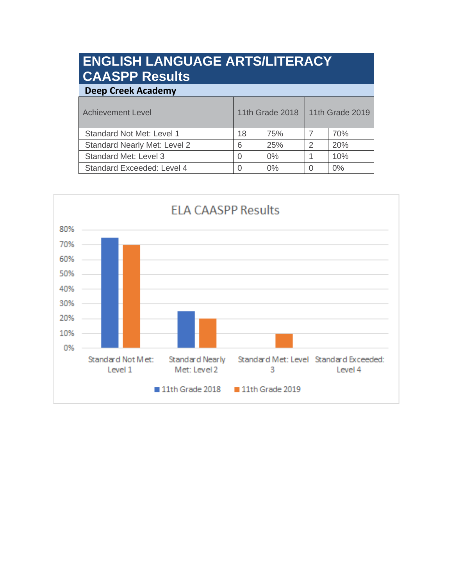# **ENGLISH LANGUAGE ARTS/LITERACY CAASPP Results**

| <b>Deep Creek Academy</b>           |                        |       |                 |       |  |  |
|-------------------------------------|------------------------|-------|-----------------|-------|--|--|
| <b>Achievement Level</b>            | <b>11th Grade 2018</b> |       | 11th Grade 2019 |       |  |  |
| <b>Standard Not Met: Level 1</b>    | 18                     | 75%   |                 | 70%   |  |  |
| <b>Standard Nearly Met: Level 2</b> | 6                      | 25%   | 2               | 20%   |  |  |
| <b>Standard Met: Level 3</b>        | 0                      | $0\%$ |                 | 10%   |  |  |
| Standard Exceeded: Level 4          | $\Omega$               | 0%    |                 | $0\%$ |  |  |